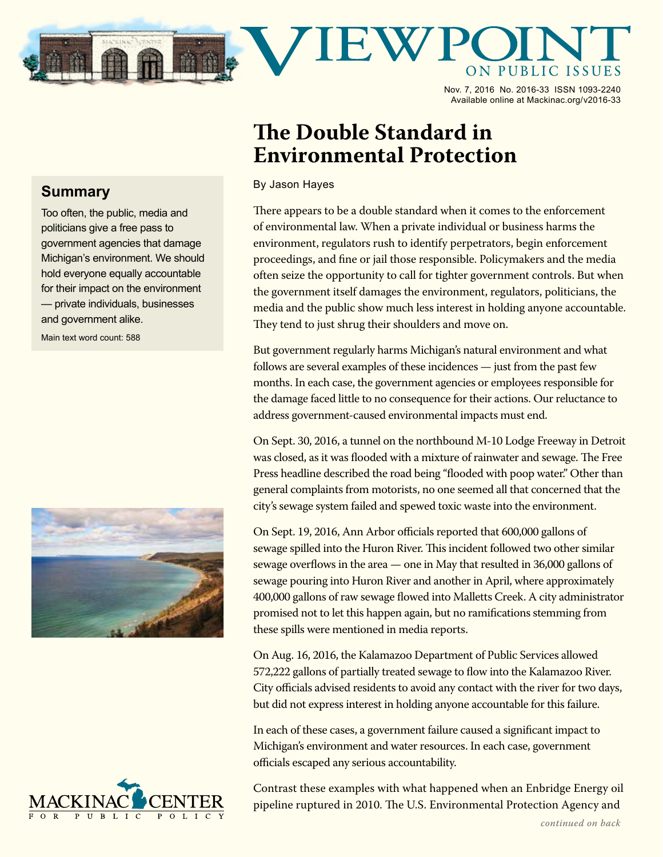

Nov. 7, 2016 No. 2016-33 ISSN 1093-2240 Available online at Mackinac.org/v2016-33

## **The Double Standard in Environmental Protection**

By Jason Hayes

There appears to be a double standard when it comes to the enforcement of environmental law. When a private individual or business harms the environment, regulators rush to identify perpetrators, begin enforcement proceedings, and fine or jail those responsible. Policymakers and the media often seize the opportunity to call for tighter government controls. But when the government itself damages the environment, regulators, politicians, the media and the public show much less interest in holding anyone accountable. They tend to just shrug their shoulders and move on.

But government regularly harms Michigan's natural environment and what follows are several examples of these incidences — just from the past few months. In each case, the government agencies or employees responsible for the damage faced little to no consequence for their actions. Our reluctance to address government-caused environmental impacts must end.

On Sept. 30, 2016, a tunnel on the northbound M-10 Lodge Freeway in Detroit was closed, as it was flooded with a mixture of rainwater and sewage. The Free Press headline described the road being "flooded with poop water." Other than general complaints from motorists, no one seemed all that concerned that the city's sewage system failed and spewed toxic waste into the environment.

On Sept. 19, 2016, Ann Arbor officials reported that 600,000 gallons of sewage spilled into the Huron River. This incident followed two other similar sewage overflows in the area — one in May that resulted in 36,000 gallons of sewage pouring into Huron River and another in April, where approximately 400,000 gallons of raw sewage flowed into Malletts Creek. A city administrator promised not to let this happen again, but no ramifications stemming from these spills were mentioned in media reports.

On Aug. 16, 2016, the Kalamazoo Department of Public Services allowed 572,222 gallons of partially treated sewage to flow into the Kalamazoo River. City officials advised residents to avoid any contact with the river for two days, but did not express interest in holding anyone accountable for this failure.

In each of these cases, a government failure caused a significant impact to Michigan's environment and water resources. In each case, government officials escaped any serious accountability.



Contrast these examples with what happened when an Enbridge Energy oil pipeline ruptured in 2010. The U.S. Environmental Protection Agency and

## **Summary**

Too often, the public, media and politicians give a free pass to government agencies that damage Michigan's environment. We should hold everyone equally accountable for their impact on the environment — private individuals, businesses and government alike.

Main text word count: 588